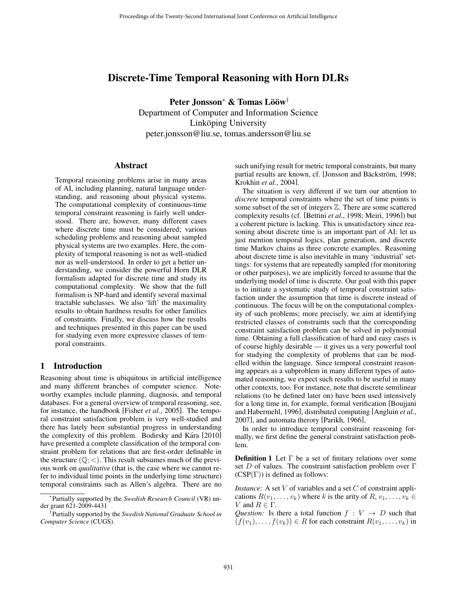# Discrete-Time Temporal Reasoning with Horn DLRs

Peter Jonsson<sup>∗</sup> & Tomas Lööw<sup>†</sup> Department of Computer and Information Science Linköping University peter.jonsson@liu.se, tomas.andersson@liu.se

#### Abstract

Temporal reasoning problems arise in many areas of AI, including planning, natural language understanding, and reasoning about physical systems. The computational complexity of continuous-time temporal constraint reasoning is fairly well understood. There are, however, many different cases where discrete time must be considered; various scheduling problems and reasoning about sampled physical systems are two examples. Here, the complexity of temporal reasoning is not as well-studied nor as well-understood. In order to get a better understanding, we consider the powerful Horn DLR formalism adapted for discrete time and study its computational complexity. We show that the full formalism is NP-hard and identify several maximal tractable subclasses. We also 'lift' the maximality results to obtain hardness results for other families of constraints. Finally, we discuss how the results and techniques presented in this paper can be used for studying even more expressive classes of temporal constraints.

## 1 Introduction

Reasoning about time is ubiquitous in artificial intelligence and many different branches of computer science. Noteworthy examples include planning, diagnosis, and temporal databases. For a general overview of temporal reasoning, see, for instance, the handbook [Fisher *et al.*, 2005]. The temporal constraint satisfaction problem is very well-studied and there has lately been substantial progress in understanding the complexity of this problem. Bodirsky and Kára [2010] have presented a complete classification of the temporal constraint problem for relations that are first-order definable in the structure  $(Q; <)$ . This result subsumes much of the previous work on *qualitative* (that is, the case where we cannot refer to individual time points in the underlying time structure) temporal constraints such as Allen's algebra. There are no such unifying result for metric temporal constraints, but many partial results are known, cf. [Jonsson and Bäckström, 1998; Krokhin *et al.*, 2004].

The situation is very different if we turn our attention to *discrete* temporal constraints where the set of time points is some subset of the set of integers  $\mathbb Z$ . There are some scattered complexity results (cf. [Bettini *et al.*, 1998; Meiri, 1996]) but a coherent picture is lacking. This is unsatisfactory since reasoning about discrete time is an important part of AI: let us just mention temporal logics, plan generation, and discrete time Markov chains as three concrete examples. Reasoning about discrete time is also inevitable in many 'industrial' settings: for systems that are repeatedly sampled (for monitoring or other purposes), we are implicitly forced to assume that the underlying model of time is discrete. Our goal with this paper is to initiate a systematic study of temporal constraint satisfaction under the assumption that time is discrete instead of continuous. The focus will be on the computational complexity of such problems; more precisely, we aim at identifying restricted classes of constraints such that the corresponding constraint satisfaction problem can be solved in polynomial time. Obtaining a full classification of hard and easy cases is of course highly desirable — it gives us a very powerful tool for studying the complexity of problems that can be modelled within the language. Since temporal constraint reasoning appears as a subproblem in many different types of automated reasoning, we expect such results to be useful in many other contexts, too. For instance, note that discrete semilinear relations (to be defined later on) have been used intensively for a long time in, for example, formal verification [Boujjani and Habermehl, 1996], distributed computing [Angluin *et al.*, 2007], and automata therory [Parikh, 1966],

In order to introduce temporal constraint reasoning formally, we first define the general constraint satisfaction problem.

**Definition 1** Let  $\Gamma$  be a set of finitary relations over some set D of values. The constraint satisfaction problem over  $\Gamma$  $(CSP(\Gamma))$  is defined as follows:

*Instance:* A set V of variables and a set C of constraint applications  $R(v_1,...,v_k)$  where k is the arity of  $R, v_1,...,v_k \in$ V and  $R \in \Gamma$ .

*Question:* Is there a total function  $f : V \rightarrow D$  such that  $(f(v_1),...,f(v_k)) \in R$  for each constraint  $R(v_1,...,v_k)$  in

<sup>∗</sup>Partially supported by the *Swedish Research Council* (VR) under grant 621-2009-4431

<sup>†</sup>Partially supported by the *Swedish National Graduate School in Computer Science* (CUGS).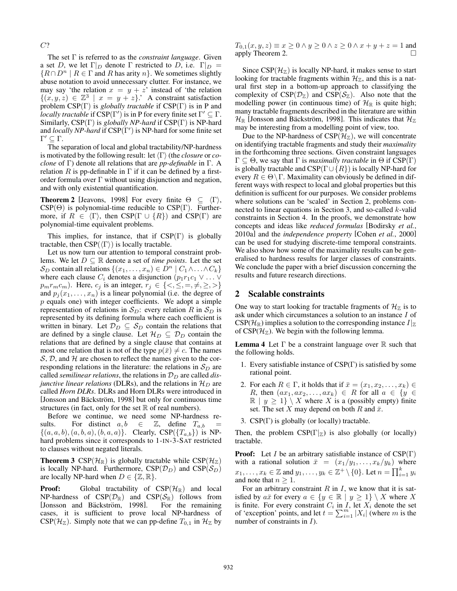C?

The set Γ is referred to as the *constraint language*. Given a set D, we let  $\Gamma|_D$  denote  $\Gamma$  restricted to D, i.e.  $\Gamma|_D =$  ${R \cap D^n \mid R \in \Gamma \text{ and } R \text{ has arity } n}.$  We sometimes slightly abuse notation to avoid unnecessary clutter. For instance, we may say 'the relation  $x = y + z$ ' instead of 'the relation  $\{(x, y, z) \in \mathbb{Z}^3 \mid x = y + z\}$ .' A constraint satisfaction problem CSP(Γ) is *globally tractable* if CSP(Γ) is in P and *locally tractable* if  $CSP(\Gamma')$  is in P for every finite set  $\Gamma' \subseteq \Gamma$ . Similarly, CSP(Γ) is *globally NP-hard* if CSP(Γ) is NP-hard and *locally NP-hard* if CSP(Γ') is NP-hard for some finite set  $Γ' ⊆ Γ.$ 

The separation of local and global tractability/NP-hardness is motivated by the following result: let  $\langle \Gamma \rangle$  (the *closure* or *coclone* of Γ) denote all relations that are *pp-definable* in Γ. A relation R is pp-definable in  $\Gamma$  if it can be defined by a firstorder formula over  $\Gamma$  without using disjunction and negation, and with only existential quantification.

**Theorem 2** [Jeavons, 1998] For every finite  $\Theta \subseteq \langle \Gamma \rangle$ ,  $CSP(\Theta)$  is polynomial-time reducible to  $CSP(\Gamma)$ . Furthermore, if  $R \in \langle \Gamma \rangle$ , then CSP( $\Gamma \cup \{R\}$ ) and CSP( $\Gamma$ ) are polynomial-time equivalent problems.

This implies, for instance, that if  $CSP(\Gamma)$  is globally tractable, then  $CSP(\langle \Gamma \rangle)$  is locally tractable.

Let us now turn our attention to temporal constraint problems. We let  $D \subseteq \mathbb{R}$  denote a set of *time points*. Let the set  $S_D$  contain all relations  $\{(x_1,\ldots,x_n) \in D^n \mid C_1 \wedge \ldots \wedge C_k\}$ where each clause  $C_i$  denotes a disjunction  $(p_1r_1c_1 \vee \ldots \vee p_n)$  $p_m r_m c_m$ ). Here,  $c_j$  is an integer,  $r_j \in \{ \langle \leq, \leq, =, \neq, \geq, \rangle \}$ and  $p_i(x_1,...,x_n)$  is a linear polynomial (i.e. the degree of  $p$  equals one) with integer coefficients. We adopt a simple representation of relations in  $S_D$ : every relation R in  $S_D$  is represented by its defining formula where each coefficient is written in binary. Let  $\mathcal{D}_D \subseteq \mathcal{S}_D$  contain the relations that are defined by a single clause. Let  $\mathcal{H}_D \subseteq \mathcal{D}_D$  contain the relations that are defined by a single clause that contains at most one relation that is not of the type  $p(\bar{x}) \neq c$ . The names  $S, D$ , and  $H$  are chosen to reflect the names given to the corresponding relations in the literature: the relations in  $S_D$  are called *semilinear relations*, the relations in  $\mathcal{D}_D$  are called *disjunctive linear relations* (DLRs), and the relations in  $\mathcal{H}_D$  are called *Horn DLRs*. DLRs and Horn DLRs were introduced in [Jonsson and Bäckström, 1998] but only for continuous time structures (in fact, only for the set  $\mathbb R$  of real numbers).

Before we continue, we need some NP-hardness results. For distinct  $a, b \in \mathbb{Z}$ , define  $T_{a,b} =$  $\{(a, a, b), (a, b, a), (b, a, a)\}.$  Clearly,  $CSP(\{T_{a,b}\})$  is NPhard problems since it corresponds to 1-IN-3-SAT restricted to clauses without negated literals.

**Theorem 3** CSP( $\mathcal{H}_{\mathbb{R}}$ ) is globally tractable while CSP( $\mathcal{H}_{\mathbb{Z}}$ ) is locally NP-hard. Furthermore,  $CSP(\mathcal{D}_D)$  and  $CSP(\mathcal{S}_D)$ are locally NP-hard when  $D \in \{Z, \mathbb{R}\}.$ 

**Proof:** Global tractability of  $CSP(\mathcal{H}_\mathbb{R})$  and local NP-hardness of  $CSP(\mathcal{D}_{\mathbb{R}})$  and  $CSP(\mathcal{S}_{\mathbb{R}})$  follows from [Jonsson and Bäckström, 1998]. For the remaining [Jonsson and Bäckström, 1998]. cases, it is sufficient to prove local NP-hardness of  $CSP(\mathcal{H}_Z)$ . Simply note that we can pp-define  $T_{0,1}$  in  $\mathcal{H}_Z$  by  $T_{0,1}(x, y, z) \equiv x \ge 0 \land y \ge 0 \land z \ge 0 \land x + y + z = 1$  and apply Theorem 2. apply Theorem 2.

Since  $CSP(\mathcal{H}_{\mathbb{Z}})$  is locally NP-hard, it makes sense to start looking for tractable fragments within  $\mathcal{H}_{\mathbb{Z}}$ , and this is a natural first step in a bottom-up approach to classifying the complexity of  $CSP(\mathcal{D}_{\mathbb{Z}})$  and  $CSP(\mathcal{S}_{\mathbb{Z}})$ . Also note that the modelling power (in continuous time) of  $\mathcal{H}_{\mathbb{R}}$  is quite high; many tractable fragments described in the literature are within  $\mathcal{H}_{\mathbb{R}}$  [Jonsson and Bäckström, 1998]. This indicates that  $\mathcal{H}_{\mathbb{Z}}$ may be interesting from a modelling point of view, too.

Due to the NP-hardness of  $CSP(\mathcal{H}_{\mathbb{Z}})$ , we will concentrate on identifying tractable fragments and study their *maximality* in the forthcoming three sections. Given constraint languages  $\Gamma \subseteq \Theta$ , we say that  $\Gamma$  is *maximally tractable* in  $\Theta$  if  $CSP(\Gamma)$ is globally tractable and  $CSP(\Gamma \cup \{R\})$  is locally NP-hard for every  $R \in \Theta \backslash \Gamma$ . Maximality can obviously be defined in different ways with respect to local and global properties but this definition is sufficent for our purposes. We consider problems where solutions can be 'scaled' in Section 2, problems connected to linear equations in Section 3, and so-called k-valid constraints in Section 4. In the proofs, we demonstrate how concepts and ideas like *reduced formulas* [Bodirsky *et al.*, 2010a] and the *independence property* [Cohen *et al.*, 2000] can be used for studying discrete-time temporal constraints. We also show how some of the maximality results can be generalised to hardness results for larger classes of constraints. We conclude the paper with a brief discussion concerning the results and future research directions.

#### 2 Scalable constraints

One way to start looking for tractable fragments of  $\mathcal{H}_{\mathbb{Z}}$  is to ask under which circumstances a solution to an instance I of  $CSP(\mathcal{H}_{\mathbb{R}})$  implies a solution to the corresponding instance  $I|_{\mathbb{Z}}$ of CSP( $\mathcal{H}_{\mathbb{Z}}$ ). We begin with the following lemma.

**Lemma 4** Let  $\Gamma$  be a constraint language over  $\mathbb R$  such that the following holds.

- 1. Every satisfiable instance of CSP(Γ) is satisfied by some rational point.
- 2. For each  $R \in \Gamma$ , it holds that if  $\bar{x} = (x_1, x_2, \ldots, x_k) \in \Gamma$ R, then  $(ax_1, ax_2, \ldots, ax_k) \in R$  for all  $a \in \{y \in$  $\mathbb{R}$  |  $y \geq 1$  \ X where X is a (possibly empty) finite set. The set X may depend on both R and  $\bar{x}$ .
- 3. CSP(Γ) is globally (or locally) tractable.

Then, the problem  $CSP(\Gamma|\mathbb{Z})$  is also globally (or locally) tractable.

**Proof:** Let *I* be an arbitrary satisfiable instance of  $CSP(\Gamma)$ with a rational solution  $\bar{x} = (x_1/y_1, \ldots, x_k/y_k)$  where  $x_1, \ldots, x_k \in \mathbb{Z}$  and  $y_1, \ldots, y_k \in \mathbb{Z}^+ \setminus \{0\}$ . Let  $n = \prod_{i=1}^k y_i$ and note that  $n > 1$ .

For an arbitrary constraint  $R$  in  $I$ , we know that it is satisfied by  $a\bar{x}$  for every  $a \in \{y \in \mathbb{R} \mid y \ge 1\} \setminus X$  where X is finite. For every constraint  $C_i$  in  $\overline{I}$ , let  $X_i$  denote the set of 'exception' points, and let  $t = \sum_{i=1}^{m} |X_i|$  (where m is the number of constraints in  $I$ ).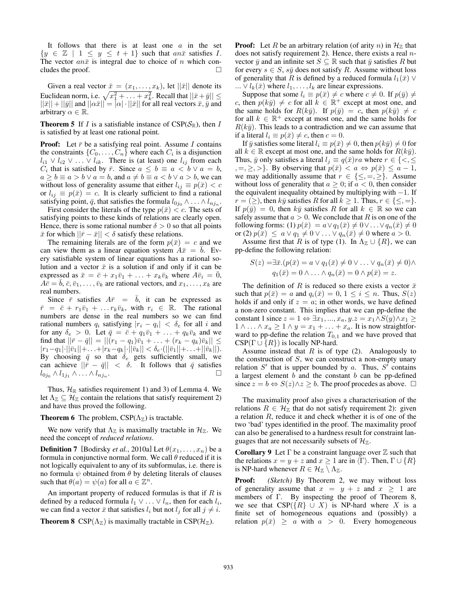It follows that there is at least one  $a$  in the set  ${y \in \mathbb{Z} \mid 1 \leq y \leq t+1}$  such that anx satisfies I. The vector  $an\bar{x}$  is integral due to choice of n which concludes the proof.  $\Box$ 

Given a real vector  $\bar{x} = (x_1, \ldots, x_k)$ , let  $\|\bar{x}\|$  denote its Euclidean norm, i.e.  $\sqrt{x_1^2 + \ldots + x_k^2}$ . Recall that  $||\bar{x} + \bar{y}|| \le$  $||\bar{x}|| + ||\bar{y}||$  and  $||\alpha \bar{x}|| = |\alpha| \cdot ||\bar{x}||$  for all real vectors  $\bar{x}, \bar{y}$  and arbitrary  $\alpha \in \mathbb{R}$ .

**Theorem 5** If I is a satisfiable instance of  $CSP(S_{\mathbb{R}})$ , then I is satisfied by at least one rational point.

**Proof:** Let  $\bar{r}$  be a satisfying real point. Assume I contains the constraints  $\{C_0, \ldots, C_n\}$  where each  $C_i$  is a disjunction  $l_{i1} \vee l_{i2} \vee \ldots \vee l_{ik}$ . There is (at least) one  $l_{ij}$  from each  $C_i$  that is satisfied by  $\bar{r}$ . Since  $a \leq b \equiv a < b \vee a = b$ ,  $a \ge b \equiv a > b \vee a = b$ , and  $a \ne b \equiv a < b \vee a > b$ , we can without loss of generality assume that either  $l_{ij} \equiv p(\bar{x}) < c$ or  $l_{ij} \equiv p(\bar{x}) = c$ . It is clearly sufficient to find a rational satisfying point,  $\bar{q}$ , that satisfies the formula  $l_{0j_0} \wedge \ldots \wedge l_{nj_n}$ .

First consider the literals of the type  $p(\bar{x}) < c$ . The sets of satisfying points to these kinds of relations are clearly open. Hence, there is some rational number  $\delta > 0$  so that all points  $\bar{x}$  for which  $||\bar{r}-\bar{x}|| < \delta$  satisfy these relations.

The remaining literals are of the form  $p(\bar{x}) = c$  and we can view them as a linear equation system  $A\bar{x} = \bar{b}$ . Every satisfiable system of linear equations has a rational solution and a vector  $\bar{x}$  is a solution if and only if it can be expressed as  $\bar{x} = \bar{c} + x_1\bar{v}_1 + \ldots + x_k\bar{v}_k$  where  $A\bar{v}_i = 0$ ,  $A\bar{c} = b, \bar{c}, \bar{v}_1, \ldots, \bar{v}_k$  are rational vectors, and  $x_1, \ldots, x_k$  are real numbers.

Since  $\bar{r}$  satisfies  $A\bar{r} = \bar{b}$ , it can be expressed as  $\bar{r} = \bar{c} + r_1\bar{v}_1 + \ldots r_k\bar{v}_k$ , with  $r_i \in \mathbb{R}$ . The rational numbers are dense in the real numbers so we can find rational numbers  $q_i$  satisfying  $|r_i - q_i| < \delta_e$  for all i and for any  $\delta_e > 0$ . Let  $\bar{q} = \bar{c} + q_1 \bar{v}_1 + \ldots + q_k \bar{v}_k$  and we find that  $||\bar{r} - \bar{q}|| = ||(r_1 - q_1)\bar{v}_1 + ... + (r_k - q_k)\bar{v}_k|| \le$  $|r_1-q_1|\cdot||\bar{v}_1||+\ldots+|r_k-q_k|\cdot||\bar{v}_k|| < \delta_e\cdot(||\bar{v}_1||+\ldots+||\bar{v}_k||).$ By choosing  $\bar{q}$  so that  $\delta_e$  gets sufficiently small, we can achieve  $||\bar{r} - \bar{q}|| < \delta$ . It follows that  $\bar{q}$  satisfies  $\log \frac{\lambda}{1}$   $\lambda \ldots \wedge \ln i$ .  $l_{0j_0} \wedge l_{1j_1} \wedge \ldots \wedge l_{nj_n}$ .

Thus,  $\mathcal{H}_{\mathbb{R}}$  satisfies requirement 1) and 3) of Lemma 4. We let  $\Lambda_{\mathbb{Z}} \subseteq \mathcal{H}_{\mathbb{Z}}$  contain the relations that satisfy requirement 2) and have thus proved the following.

#### **Theorem 6** The problem,  $CSP(\Lambda_{\mathbb{Z}})$  is tractable.

We now verify that  $\Lambda_{\mathbb{Z}}$  is maximally tractable in  $\mathcal{H}_{\mathbb{Z}}$ . We need the concept of *reduced relations*.

**Definition 7** [Bodirsky *et al.*, 2010a] Let  $\theta(x_1, \ldots, x_n)$  be a formula in conjunctive normal form. We call  $\theta$  reduced if it is not logically equivalent to any of its subformulas, i.e. there is no formula  $\psi$  obtained from  $\theta$  by deleting literals of clauses such that  $\theta(a) = \psi(a)$  for all  $a \in \mathbb{Z}^n$ .

An important property of reduced formulas is that if  $R$  is defined by a reduced formula  $l_1 \vee \ldots \vee l_n$ , then for each  $l_i$ , we can find a vector  $\bar{x}$  that satisfies  $l_i$  but not  $l_j$  for all  $j \neq i$ .

**Theorem 8** CSP( $\Lambda$ <sub>Z</sub>) is maximally tractable in CSP( $\mathcal{H}$ <sub>Z</sub>).

**Proof:** Let R be an arbitrary relation (of arity n) in  $\mathcal{H}_{\mathbb{Z}}$  that does not satisfy requirement 2). Hence, there exists a real  $n$ vector  $\bar{y}$  and an infinite set  $S \subseteq \mathbb{R}$  such that  $\bar{y}$  satisfies R but for every  $s \in S$ ,  $s\bar{y}$  does not satisfy R. Assume without loss of generality that R is defined by a reduced formula  $l_1(\bar{x}) \vee$ ...  $\vee l_k(\bar{x})$  where  $l_1,\ldots,l_k$  are linear expressions.

Suppose that some  $l_i \equiv p(\bar{x}) \neq c$  where  $c \neq 0$ . If  $p(\bar{y}) \neq 0$ c, then  $p(k\bar{y}) \neq c$  for all  $k \in \mathbb{R}^+$  except at most one, and the same holds for  $R(k\bar{y})$ . If  $p(\bar{y}) = c$ , then  $p(k\bar{y}) \neq c$ for all  $k \in \mathbb{R}^+$  except at most one, and the same holds for  $R(k\bar{y})$ . This leads to a contradiction and we can assume that if a literal  $l_i \equiv p(\bar{x}) \neq c$ , then  $c = 0$ .

If  $\bar{y}$  satisfies some literal  $l_i \equiv p(\bar{x}) \neq 0$ , then  $p(k\bar{y}) \neq 0$  for all  $k \in \mathbb{R}$  except at most one, and the same holds for  $R(k\bar{y})$ . Thus,  $\bar{y}$  only satisfies a literal  $l_j \equiv q(\bar{x})ra$  where  $r \in \{<, \leq \}$  $\{z, =, \geq, \geq\}$ . By observing that  $p(\bar{x}) < a \Leftrightarrow p(\bar{x}) \leq a - 1$ , we may additionally assume that  $r \in \{\leq, =, \geq\}$ . Assume without loss of generality that  $a \geq 0$ ; if  $a < 0$ , then consider the equivalent inequality obtained by multiplying with  $-1$ . If  $r = (\ge)$ , then  $k\bar{y}$  satisfies R for all  $k \ge 1$ . Thus,  $r \in {\le} =$ . If  $p(\bar{y})=0$ , then  $k\bar{y}$  satisfies R for all  $k \in \mathbb{R}$  so we can safely assume that  $a > 0$ . We conclude that R is on one of the following forms: (1)  $p(\bar{x}) = a \vee q_1(\bar{x}) \neq 0 \vee ... \vee q_n(\bar{x}) \neq 0$ or (2)  $p(\bar{x}) \leq a \vee q_1 \neq 0 \vee ... \vee q_n(\bar{x}) \neq 0$  where  $a > 0$ .

Assume first that R is of type (1). In  $\Lambda_{\mathbb{Z}} \cup \{R\}$ , we can pp-define the following relation:

$$
S(z) = \exists \bar{x}. (p(\bar{x}) = a \lor q_1(\bar{x}) \neq 0 \lor ... \lor q_n(\bar{x}) \neq 0) \land q_1(\bar{x}) = 0 \land ... \land q_n(\bar{x}) = 0 \land p(\bar{x}) = z.
$$

The definition of R is reduced so there exists a vector  $\bar{x}$ such that  $p(\bar{x}) = a$  and  $q_i(\bar{x}) = 0, 1 \le i \le n$ . Thus,  $S(z)$ holds if and only if  $z = a$ ; in other words, we have defined a non-zero constant. This implies that we can pp-define the constant 1 since  $z = 1 \Leftrightarrow \exists x_1, ..., x_a, y.z = x_1 \land S(y) \land x_1 \geq$  $1 \wedge \ldots \wedge x_a \geq 1 \wedge y = x_1 + \ldots + x_a$ . It is now straightforward to pp-define the relation  $T_{0,1}$  and we have proved that  $CSP(\Gamma \cup \{R\})$  is locally NP-hard.

Assume instead that  $R$  is of type (2). Analogously to the construction of  $S$ , we can construct a non-empty unary relation S' that is upper bounded by a. Thus,  $S^{\prime}$  contains a largest element  $b$  and the constant  $b$  can be pp-defined since  $z = b \Leftrightarrow S(z) \wedge z \ge b$ . The proof procedes as above.  $\Box$ 

The maximality proof also gives a characterisation of the relations  $R \in \mathcal{H}_{\mathbb{Z}}$  that do not satisfy requirement 2): given a relation R, reduce it and check whether it is of one of the two 'bad' types identified in the proof. The maximality proof can also be generalised to a hardness result for constraint languages that are not necessarily subsets of  $\mathcal{H}_{\mathbb{Z}}$ .

**Corollary 9** Let  $\Gamma$  be a constraint language over  $\mathbb{Z}$  such that the relations  $x = y + z$  and  $x \ge 1$  are in  $\langle \Gamma \rangle$ . Then,  $\Gamma \cup \{R\}$ is NP-hard whenever  $R \in \mathcal{H}_{\mathbb{Z}} \setminus \Lambda_{\mathbb{Z}}$ .

Proof: *(Sketch)* By Theorem 2, we may without loss of generality assume that  $x = y + z$  and  $x \ge 1$  are members of Γ. By inspecting the proof of Theorem 8, we see that  $CSP({R} \cup X)$  is NP-hard where X is a finite set of homogeneous equations and (possibly) a relation  $p(\bar{x}) \ge a$  with  $a > 0$ . Every homogeneous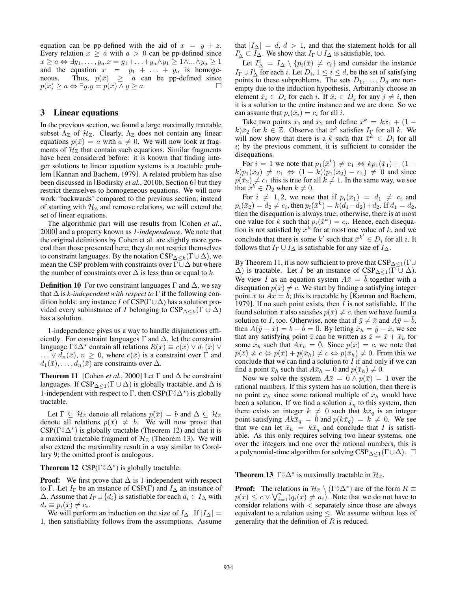equation can be pp-defined with the aid of  $x = y + z$ . Every relation  $x \ge a$  with  $a > 0$  can be pp-defined since  $x \ge a \Leftrightarrow \exists y_1, \ldots, y_a \ldots = y_1 + \ldots + y_a \wedge y_1 \ge 1 \wedge \ldots \wedge y_a \ge 1$ and the equation  $x = y_1 + \ldots + y_a$  is homogeneous. Thus,  $p(\bar{x}) \geq a$  can be pp-defined since  $p(\bar{x}) \geq a \Leftrightarrow \exists y \ldotp y = p(\bar{x}) \land y \geq a.$ 

## 3 Linear equations

In the previous section, we found a large maximally tractable subset  $\Lambda_{\mathbb{Z}}$  of  $\mathcal{H}_{\mathbb{Z}}$ . Clearly,  $\Lambda_{\mathbb{Z}}$  does not contain any linear equations  $p(\bar{x}) = a$  with  $a \neq 0$ . We will now look at fragments of  $\mathcal{H}_{\mathbb{Z}}$  that contain such equations. Similar fragments have been considered before: it is known that finding integer solutions to linear equation systems is a tractable problem [Kannan and Bachem, 1979]. A related problem has also been discussed in [Bodirsky *et al.*, 2010b, Section 6] but they restrict themselves to homogeneous equations. We will now work 'backwards' compared to the previous section; instead of starting with  $\mathcal{H}_{\mathbb{Z}}$  and remove relations, we will extend the set of linear equations.

The algorithmic part will use results from [Cohen *et al.*, 2000] and a property known as *1-independence*. We note that the original definitions by Cohen et al. are slightly more general than those presented here; they do not restrict themselves to constraint languages. By the notation  $CSP_{\Delta \leq k}(\Gamma \cup \Delta)$ , we mean the CSP problem with constraints over  $\Gamma \cup \Delta$  but where the number of constraints over  $\Delta$  is less than or equal to k.

**Definition 10** For two constraint languages  $\Gamma$  and  $\Delta$ , we say that  $\Delta$  is *k*-independent with respect to  $\Gamma$  if the following condition holds: any instance I of  $CSP(\Gamma \cup \Delta)$  has a solution provided every subinstance of I belonging to  $CSP_{\Delta \leq k}(\Gamma \cup \Delta)$ has a solution.

1-independence gives us a way to handle disjunctions efficiently. For constraint languages  $\Gamma$  and  $\Delta$ , let the constraint language  $\Gamma^{\times} \Delta^*$  contain all relations  $R(\bar{x}) \equiv c(\bar{x}) \vee d_1(\bar{x}) \vee d_2(\bar{x})$  $\ldots \vee d_n(\bar{x}), n \geq 0$ , where  $c(\bar{x})$  is a constraint over  $\Gamma$  and  $d_1(\bar{x}), \ldots, d_n(\bar{x})$  are constraints over  $\Delta$ .

**Theorem 11** [Cohen *et al.*, 2000] Let  $\Gamma$  and  $\Delta$  be constraint languages. If  $CSP_{\Delta \leq 1}(\Gamma \cup \Delta)$  is globally tractable, and  $\Delta$  is 1-independent with respect to  $\Gamma$ , then  $CSP(\Gamma^{\circ} \Delta^*)$  is globally tractable.

Let  $\Gamma \subseteq \mathcal{H}_{\mathbb{Z}}$  denote all relations  $p(\bar{x}) = b$  and  $\Delta \subseteq \mathcal{H}_{\mathbb{Z}}$ denote all relations  $p(\bar{x}) \neq b$ . We will now prove that  $CSP(\Gamma^{\times} \Delta^{*})$  is globally tractable (Theorem 12) and that it is a maximal tractable fragment of  $\mathcal{H}_{\mathbb{Z}}$  (Theorem 13). We will also extend the maximality result in a way similar to Corollary 9; the omitted proof is analogous.

**Theorem 12**  $CSP(\Gamma^{\times} \Delta^{\ast})$  is globally tractable.

**Proof:** We first prove that  $\Delta$  is 1-independent with respect to Γ. Let  $I_{\Gamma}$  be an instance of CSP(Γ) and  $I_{\Delta}$  an instance of  $\Delta$ . Assume that  $I_{\Gamma} \cup \{d_i\}$  is satisfiable for each  $d_i \in I_{\Delta}$  with  $d_i \equiv p_i(\bar{x}) \neq c_i.$ 

We will perform an induction on the size of  $I_{\Delta}$ . If  $|I_{\Delta}|$  = 1, then satisfiability follows from the assumptions. Assume that  $|I_{\Delta}| = d, d > 1$ , and that the statement holds for all  $I'_{\Delta} \subset \overline{I_{\Delta}}$ . We show that  $I_{\Gamma} \cup I_{\Delta}$  is satisfiable, too.

Let  $I^i_\Delta = I_\Delta \setminus \{p_i(\bar{x}) \neq c_i\}$  and consider the instance  $I_{\Gamma} \cup I_{\Delta}^{i}$  for each i. Let  $D_{i}$ ,  $1 \leq i \leq d$ , be the set of satisfying points to these subproblems. The sets  $D_1, \ldots, D_d$  are nonempty due to the induction hypothesis. Arbitrarily choose an element  $\bar{x}_i \in D_i$  for each i. If  $\bar{x}_i \in D_j$  for any  $j \neq i$ , then it is a solution to the entire instance and we are done. So we can assume that  $p_i(\bar{x}_i) = c_i$  for all *i*.

Take two points  $\bar{x}_1$  and  $\bar{x}_2$  and define  $\bar{x}^k = k\bar{x}_1 + (1 - \bar{x}_2)$  $k|\bar{x}_2$  for  $k \in \mathbb{Z}$ . Observe that  $\bar{x}^k$  satisfies  $I_{\Gamma}$  for all k. We will now show that there is a k such that  $\bar{x}^k \in D_i$  for all  $i$ ; by the previous comment, it is sufficient to consider the disequations.

For  $i = 1$  we note that  $p_1(\bar{x}^k) \neq c_1 \Leftrightarrow kp_1(\bar{x}_1) + (1$  $k)p_1(\bar{x}_2) \neq c_1 \Leftrightarrow (1-k)(p_1(\bar{x}_2) - c_1) \neq 0$  and since  $p(\bar{x}_2) \neq c_1$  this is true for all  $k \neq 1$ . In the same way, we see that  $\bar{x}^k \in D_2$  when  $k \neq 0$ .

For  $i \neq 1, 2$ , we note that if  $p_i(\bar{x}_1) = d_1 \neq c_i$  and  $p_i(\bar{x}_2) = d_2 \neq c_i$ , then  $p_i(\bar{x}^k) = k(d_1 - d_2) + d_2$ . If  $d_1 = d_2$ , then the disequation is always true; otherwise, there is at most one value for k such that  $p_i(\bar{x}^k) = c_i$ . Hence, each disequation is not satisfied by  $\bar{x}^k$  for at most one value of k, and we conclude that there is some k' such that  $\bar{x}^{k'} \in D_i$  for all i. It follows that  $I_{\Gamma} \cup I_{\Delta}$  is satisfiable for any size of  $I_{\Delta}$ .

By Theorem 11, it is now sufficient to prove that  $CSP_{\Delta \leq 1}(\Gamma \cup$  $\Delta$ ) is tractable. Let *I* be an instance of  $CSP_{\Delta \leq 1}(\Gamma \cup \Delta)$ . We view I as an equation system  $A\bar{x} = \bar{b}$  together with a disequation  $p(\bar{x}) \neq c$ . We start by finding a satisfying integer point  $\bar{x}$  to  $A\bar{x} = \bar{b}$ ; this is tractable by [Kannan and Bachem, 1979]. If no such point exists, then  $I$  is not satisfiable. If the found solution  $\bar{x}$  also satisfies  $p(\bar{x}) \neq c$ , then we have found a solution to I, too. Otherwise, note that if  $\bar{y} \neq \bar{x}$  and  $A\bar{y} = b$ , then  $A(\bar{y} - \bar{x}) = b - b = \bar{0}$ . By letting  $\bar{x}_h = \bar{y} - \bar{x}$ , we see that any satisfying point  $\bar{z}$  can be written as  $\bar{z} = \bar{x} + \bar{x}_h$  for some  $\bar{x}_h$  such that  $A\bar{x}_h = \bar{0}$ . Since  $p(\bar{x}) = c$ , we note that  $p(\bar{z}) \neq c \Leftrightarrow p(\bar{x}) + p(\bar{x}_h) \neq c \Leftrightarrow p(\bar{x}_h) \neq 0$ . From this we conclude that we can find a solution to  $I$  if and only if we can find a point  $\bar{x}_h$  such that  $A\bar{x}_h = 0$  and  $p(\bar{x}_h) \neq 0$ .

Now we solve the system  $A\bar{x} = 0 \wedge p(\bar{x}) = 1$  over the rational numbers. If this system has no solution, then there is no point  $\bar{x}_h$  since some rational multiple of  $\bar{x}_h$  would have been a solution. If we find a solution  $\bar{x}_q$  to this system, then there exists an integer  $k \neq 0$  such that  $k\bar{x}_q$  is an integer point satisfying  $Ak\bar{x}_q = \bar{0}$  and  $p(k\bar{x}_q) = k \neq 0$ . We see that we can let  $\bar{x}_h = k\bar{x}_q$  and conclude that I is satisfiable. As this only requires solving two linear systems, one over the integers and one over the rational numbers, this is a polynomial-time algorithm for solving  $CSP_{\Delta \leq 1}(\Gamma \cup \Delta)$ .  $\Box$ 

**Theorem 13**  $\Gamma \, \delta \, \Delta^*$  is maximally tractable in  $\mathcal{H}_{\mathbb{Z}}$ .

**Proof:** The relations in  $\mathcal{H}_{\mathbb{Z}} \setminus (\Gamma \times \Delta^*)$  are of the form  $R \equiv$  $p(\bar{x}) \leq c \vee \sqrt{\frac{n}{i}} (q_i(\bar{x}) \neq a_i)$ . Note that we do not have to consider relations with  $\langle$  separately since those are always equivalent to a relation using  $\leq$ . We assume without loss of generality that the definition of  $R$  is reduced.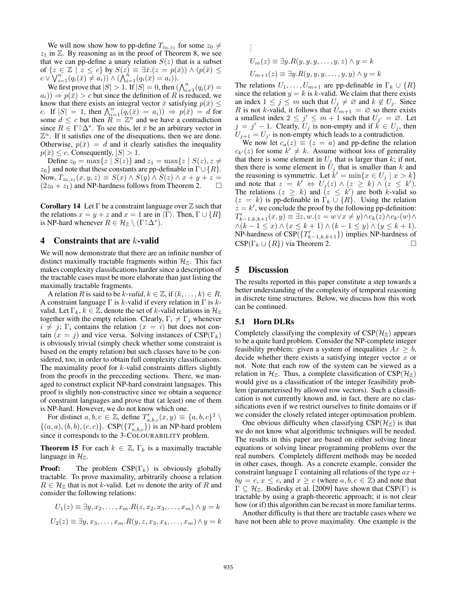We will now show how to pp-define  $T_{z_0, z_1}$  for some  $z_0 \neq$  $z_1$  in  $\mathbb Z$ . By reasoning as in the proof of Theorem 8, we see that we can pp-define a unary relation  $S(z)$  that is a subset of  $\{z \in \mathbb{Z} \mid z \leq c\}$  by  $S(z) = \exists \bar{x}.(z = p(\bar{x})) \wedge (p(\bar{x}) \leq$  $c \vee \bigvee_{i=1}^{n} (q_i(\bar{x}) \neq a_i)) \wedge (\bigwedge_{i=1}^{n} (q_i(\bar{x}) = a_i)).$ 

We first prove that  $|S| > 1$ . If  $|S| = 0$ , then  $(\bigwedge_{i=1}^{n} (q_i(\bar{x}))$  $a_i)$   $\Rightarrow$   $p(\bar{x})$   $>$  c but since the definition of R is reduced, we know that there exists an integral vector  $\bar{x}$  satisfying  $p(\bar{x}) \leq$ c. If  $|S| = 1$ , then  $\bigwedge_{i=1}^{n} (q_i(\bar{x}) = a_i) \Rightarrow p(\bar{x}) = d$  for some  $d \leq c$  but then  $\overline{R} = \mathbb{Z}^n$  and we have a contradiction since  $R \in \Gamma^{\times} \Delta^*$ . To see this, let  $\bar{x}$  be an arbitrary vector in  $\mathbb{Z}^n$ . If it satisfies one of the disequations, then we are done. Otherwise,  $p(\bar{x}) = d$  and it clearly satisfies the inequality  $p(\bar{x}) \leq c$ . Consequently,  $|S| > 1$ .

Define  $z_0 = \max\{z \mid S(z)\}\$  and  $z_1 = \max\{z \mid S(z), z \neq z\}$  $z_0$ } and note that these constants are pp-definable in  $\Gamma \cup \{R\}$ . Now,  $T_{z_0, z_1}(x, y, z) \equiv S(x) \wedge S(y) \wedge S(z) \wedge x + y + z =$  $(2z_0 + z_1)$  and NP-hardness follows from Theorem 2.  $\Box$ 

**Corollary 14** Let  $\Gamma$  be a constraint language over  $\mathbb Z$  such that the relations  $x = y + z$  and  $x = 1$  are in  $\langle \Gamma \rangle$ . Then,  $\Gamma \cup \{R\}$ is NP-hard whenever  $R \in \mathcal{H}_{\mathbb{Z}} \setminus (\Gamma \times \Delta^*)$ .

## 4 Constraints that are  $k$ -valid

We will now demonstrate that there are an infinite number of distinct maximally tractable fragments within  $\mathcal{H}_{\mathbb{Z}}$ . This fact makes complexity classifications harder since a description of the tractable cases must be more elaborate than just listing the maximally tractable fragments.

A relation R is said to be k-*valid*,  $k \in \mathbb{Z}$ , if  $(k, \ldots, k) \in R$ . A constraint language  $\Gamma$  is k-valid if every relation in  $\Gamma$  is kvalid. Let  $\Gamma_k, k \in \mathbb{Z}$ , denote the set of k-valid relations in  $\mathcal{H}_{\mathbb{Z}}$ together with the empty relation. Clearly,  $\Gamma_i \neq \Gamma_j$  whenever  $i \neq j$ ;  $\Gamma_i$  contains the relation  $(x = i)$  but does not contain  $(x = j)$  and vice versa. Solving instances of CSP( $\Gamma_k$ ) is obviously trivial (simply check whether some constraint is based on the empty relation) but such classes have to be considered, too, in order to obtain full complexity classifications. The maximality proof for  $k$ -valid constraints differs slightly from the proofs in the preceeding sections. There, we managed to construct explicit NP-hard constraint languages. This proof is slightly non-constructive since we obtain a sequence of constraint languages and prove that (at least) one of them is NP-hard. However, we do not know which one.

For distinct  $a, b, c \in \mathbb{Z}$ , define  $T'_{a,b,c}(x, y) \equiv \{a, b, c\}^2 \setminus \{a, b, c\}$  $\{(a, a), (b, b), (c, c)\}\)$ . CSP $(\{T'_{a, b, c}\})$  is an NP-hard problem since it corresponds to the 3-COLOURABILITY problem.

**Theorem 15** For each  $k \in \mathbb{Z}$ ,  $\Gamma_k$  is a maximally tractable language in  $\mathcal{H}_{\mathbb{Z}}$ .

**Proof:** The problem  $CSP(\Gamma_k)$  is obviously globally tractable. To prove maximality, arbitrarily choose a relation  $R \in \mathcal{H}_{\mathbb{Z}}$  that is not k-valid. Let m denote the arity of R and consider the following relations:

$$
U_1(z) \equiv \exists y, x_2, \dots, x_m.R(z, x_2, x_3, \dots, x_m) \land y = k
$$
  

$$
U_2(z) \equiv \exists y, x_3, \dots, x_m.R(y, z, x_3, x_4, \dots, x_m) \land y = k
$$

$$
\vdots
$$
  
\n
$$
U_m(z) \equiv \exists y.R(y, y, y, \dots, y, z) \land y = k
$$
  
\n
$$
U_{m+1}(z) \equiv \exists y.R(y, y, y, \dots, y, y) \land y = k
$$

The relations  $U_1, \ldots, U_{m+1}$  are pp-definable in  $\Gamma_k \cup \{R\}$ since the relation  $y = k$  is k-valid. We claim that there exists an index  $1 \leq j \leq m$  such that  $U_j \neq \emptyset$  and  $k \notin U_j$ . Since R is not k-valid, it follows that  $U_{m+1} = \emptyset$  so there exists a smallest index  $2 \leq j' \leq m + 1$  such that  $U_{j'} = \emptyset$ . Let  $j = j' - 1$ . Clearly,  $U_j$  is non-empty and if  $k \in U_j$ , then  $U_{j+1} = U_{j'}$  is non-empty which leads to a contradiction.

We now let  $c_a(z) \equiv (z = a)$  and pp-define the relation  $c_{k'}(z)$  for some  $k' \neq k$ . Assume without loss of generality that there is some element in  $U_i$  that is larger than k; if not, then there is some element in  $\tilde{U}_j$  that is smaller than k and the reasoning is symmetric. Let  $k' = \min\{x \in U_j \mid x > k\}$ and note that  $z = k' \Leftrightarrow U_j(z) \wedge (z \ge k) \wedge (z \le k').$ The relations  $(z \ge k)$  and  $(z \le k')$  are both k-valid so  $(z = k)$  is pp-definable in  $\Gamma_k \cup \{R\}$ . Using the relation  $z = k'$ , we conclude the proof by the following pp-definition:  $T'_{k-1,k,k+1}(x,y) \equiv \exists z, w.(z = w \lor x \neq y) \land c_k(z) \land c_{k'}(w) \land$  $\wedge (k-1 \leq x) \wedge (x \leq k+1) \wedge (k-1 \leq y) \wedge (y \leq k+1).$ NP-hardness of  $CSP(\lbrace T'_{k-1,k,k+1} \rbrace)$  implies NP-hardness of  $CSP(\Gamma_k \cup \{R\})$  via Theorem 2.

## 5 Discussion

.

The results reported in this paper constitute a step towards a better understanding of the complexity of temporal reasoning in discrete time structures. Below, we discuss how this work can be continued.

#### 5.1 Horn DLRs

Completely classifying the complexity of  $CSP(\mathcal{H}_Z)$  appears to be a quite hard problem. Consider the NP-complete integer feasibility problem: given a system of inequalities  $Ax \geq b$ , decide whether there exists a satisfying integer vector  $x$  or not. Note that each row of the system can be viewed as a relation in  $\mathcal{H}_{\mathbb{Z}}$ . Thus, a complete classification of  $CSP(\mathcal{H}_{\mathbb{Z}})$ would give us a classification of the integer feasibility problem (parameterised by allowed row vectors). Such a classification is not currently known and, in fact, there are no classifications even if we restrict ourselves to finite domains or if we consider the closely related integer optimisation problem.

One obvious difficulty when classifying  $CSP(\mathcal{H}_{\mathbb{Z}})$  is that we do not know what algorithmic techniques will be needed. The results in this paper are based on either solving linear equations or solving linear programming problems over the real numbers. Completely different methods may be needed in other cases, though. As a concrete example, consider the constraint language  $\Gamma$  containing all relations of the type  $ax +$  $by = c, x \leq c$ , and  $x \geq c$  (where  $a, b, c \in \mathbb{Z}$ ) and note that  $\Gamma \subseteq \mathcal{H}_{\mathbb{Z}}$ . Bodirsky et al. [2009] have shown that  $CSP(\Gamma)$  is tractable by using a graph-theoretic approach; it is not clear how (or if) this algorithm can be recast in more familiar terms.

Another difficulty is that there are tractable cases where we have not been able to prove maximality. One example is the